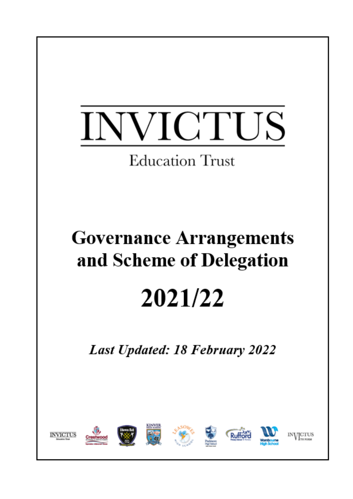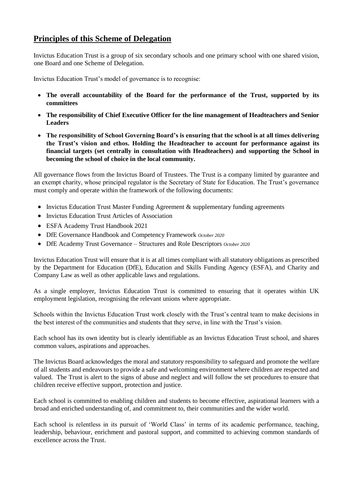# **Principles of this Scheme of Delegation**

Invictus Education Trust is a group of six secondary schools and one primary school with one shared vision, one Board and one Scheme of Delegation.

Invictus Education Trust's model of governance is to recognise:

- **The overall accountability of the Board for the performance of the Trust, supported by its committees**
- **The responsibility of Chief Executive Officer for the line management of Headteachers and Senior Leaders**
- **The responsibility of School Governing Board's is ensuring that the school is at all times delivering the Trust's vision and ethos. Holding the Headteacher to account for performance against its financial targets (set centrally in consultation with Headteachers) and supporting the School in becoming the school of choice in the local community.**

All governance flows from the Invictus Board of Trustees. The Trust is a company limited by guarantee and an exempt charity, whose principal regulator is the Secretary of State for Education. The Trust's governance must comply and operate within the framework of the following documents:

- Invictus Education Trust Master Funding Agreement & supplementary funding agreements
- Invictus Education Trust Articles of Association
- ESFA Academy Trust Handbook 2021
- DfE Governance Handbook and Competency Framework *October 2020*
- DfE Academy Trust Governance Structures and Role Descriptors *October 2020*

Invictus Education Trust will ensure that it is at all times compliant with all statutory obligations as prescribed by the Department for Education (DfE), Education and Skills Funding Agency (ESFA), and Charity and Company Law as well as other applicable laws and regulations.

As a single employer, Invictus Education Trust is committed to ensuring that it operates within UK employment legislation, recognising the relevant unions where appropriate.

Schools within the Invictus Education Trust work closely with the Trust's central team to make decisions in the best interest of the communities and students that they serve, in line with the Trust's vision.

Each school has its own identity but is clearly identifiable as an Invictus Education Trust school, and shares common values, aspirations and approaches.

The Invictus Board acknowledges the moral and statutory responsibility to safeguard and promote the welfare of all students and endeavours to provide a safe and welcoming environment where children are respected and valued. The Trust is alert to the signs of abuse and neglect and will follow the set procedures to ensure that children receive effective support, protection and justice.

Each school is committed to enabling children and students to become effective, aspirational learners with a broad and enriched understanding of, and commitment to, their communities and the wider world.

Each school is relentless in its pursuit of 'World Class' in terms of its academic performance, teaching, leadership, behaviour, enrichment and pastoral support, and committed to achieving common standards of excellence across the Trust.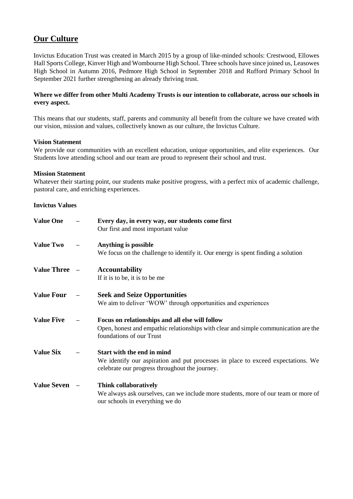# **Our Culture**

Invictus Education Trust was created in March 2015 by a group of like-minded schools: Crestwood, Ellowes Hall Sports College, Kinver High and Wombourne High School. Three schools have since joined us, Leasowes High School in Autumn 2016, Pedmore High School in September 2018 and Rufford Primary School In September 2021 further strengthening an already thriving trust.

# **Where we differ from other Multi Academy Trusts is our intention to collaborate, across our schools in every aspect.**

This means that our students, staff, parents and community all benefit from the culture we have created with our vision, mission and values, collectively known as our culture, the Invictus Culture.

### **Vision Statement**

We provide our communities with an excellent education, unique opportunities, and elite experiences. Our Students love attending school and our team are proud to represent their school and trust.

#### **Mission Statement**

Whatever their starting point, our students make positive progress, with a perfect mix of academic challenge, pastoral care, and enriching experiences.

### **Invictus Values**

| <b>Value One</b>   | Every day, in every way, our students come first<br>Our first and most important value                                                                             |
|--------------------|--------------------------------------------------------------------------------------------------------------------------------------------------------------------|
| <b>Value Two</b>   | Anything is possible<br>We focus on the challenge to identify it. Our energy is spent finding a solution                                                           |
| Value Three -      | <b>Accountability</b><br>If it is to be, it is to be me                                                                                                            |
| <b>Value Four</b>  | <b>Seek and Seize Opportunities</b><br>We aim to deliver 'WOW' through opportunities and experiences                                                               |
| <b>Value Five</b>  | Focus on relationships and all else will follow<br>Open, honest and empathic relationships with clear and simple communication are the<br>foundations of our Trust |
| <b>Value Six</b>   | Start with the end in mind<br>We identify our aspiration and put processes in place to exceed expectations. We<br>celebrate our progress throughout the journey.   |
| <b>Value Seven</b> | Think collaboratively<br>We always ask ourselves, can we include more students, more of our team or more of<br>our schools in everything we do                     |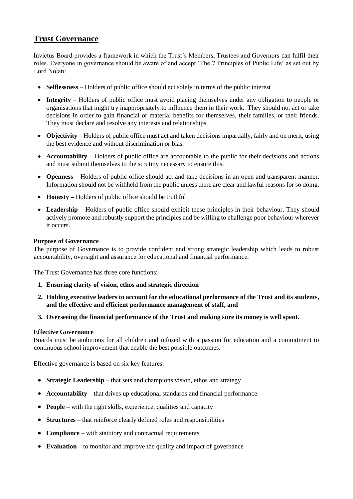# **Trust Governance**

Invictus Board provides a framework in which the Trust's Members, Trustees and Governors can fulfil their roles. Everyone in governance should be aware of and accept 'The 7 Principles of Public Life' as set out by Lord Nolan:

- **Selflessness** Holders of public office should act solely in terms of the public interest
- **Integrity** Holders of public office must avoid placing themselves under any obligation to people or organisations that might try inappropriately to influence them in their work. They should not act or take decisions in order to gain financial or material benefits for themselves, their families, or their friends. They must declare and resolve any interests and relationships.
- **Objectivity** Holders of public office must act and taken decisions impartially, fairly and on merit, using the best evidence and without discrimination or bias.
- **Accountability** Holders of public office are accountable to the public for their decisions and actions and must submit themselves to the scrutiny necessary to ensure this.
- **Openness** Holders of public office should act and take decisions in an open and transparent manner. Information should not be withheld from the public unless there are clear and lawful reasons for so doing.
- **Honesty** Holders of public office should be truthful
- **Leadership** Holders of public office should exhibit these principles in their behaviour. They should actively promote and robustly support the principles and be willing to challenge poor behaviour wherever it occurs.

### **Purpose of Governance**

The purpose of Governance is to provide confident and strong strategic leadership which leads to robust accountability, oversight and assurance for educational and financial performance.

The Trust Governance has three core functions:

- **1. Ensuring clarity of vision, ethos and strategic direction**
- **2. Holding executive leaders to account for the educational performance of the Trust and its students, and the effective and efficient performance management of staff, and**
- **3. Overseeing the financial performance of the Trust and making sure its money is well spent.**

#### **Effective Governance**

Boards must be ambitious for all children and infused with a passion for education and a commitment to continuous school improvement that enable the best possible outcomes.

Effective governance is based on six key features:

- **Strategic Leadership** that sets and champions vision, ethos and strategy
- **Accountability** that drives up educational standards and financial performance
- **People** with the right skills, experience, qualities and capacity
- **Structures** that reinforce clearly defined roles and responsibilities
- **Compliance** with statutory and contractual requirements
- **Evaluation** to monitor and improve the quality and impact of governance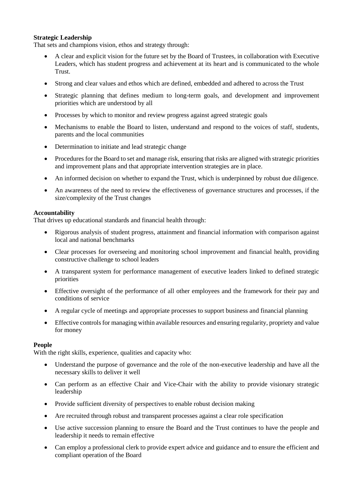### **Strategic Leadership**

That sets and champions vision, ethos and strategy through:

- A clear and explicit vision for the future set by the Board of Trustees, in collaboration with Executive Leaders, which has student progress and achievement at its heart and is communicated to the whole Trust.
- Strong and clear values and ethos which are defined, embedded and adhered to across the Trust
- Strategic planning that defines medium to long-term goals, and development and improvement priorities which are understood by all
- Processes by which to monitor and review progress against agreed strategic goals
- Mechanisms to enable the Board to listen, understand and respond to the voices of staff, students, parents and the local communities
- Determination to initiate and lead strategic change
- Procedures for the Board to set and manage risk, ensuring that risks are aligned with strategic priorities and improvement plans and that appropriate intervention strategies are in place.
- An informed decision on whether to expand the Trust, which is underpinned by robust due diligence.
- An awareness of the need to review the effectiveness of governance structures and processes, if the size/complexity of the Trust changes

#### **Accountability**

That drives up educational standards and financial health through:

- Rigorous analysis of student progress, attainment and financial information with comparison against local and national benchmarks
- Clear processes for overseeing and monitoring school improvement and financial health, providing constructive challenge to school leaders
- A transparent system for performance management of executive leaders linked to defined strategic priorities
- Effective oversight of the performance of all other employees and the framework for their pay and conditions of service
- A regular cycle of meetings and appropriate processes to support business and financial planning
- Effective controls for managing within available resources and ensuring regularity, propriety and value for money

#### **People**

With the right skills, experience, qualities and capacity who:

- Understand the purpose of governance and the role of the non-executive leadership and have all the necessary skills to deliver it well
- Can perform as an effective Chair and Vice-Chair with the ability to provide visionary strategic leadership
- Provide sufficient diversity of perspectives to enable robust decision making
- Are recruited through robust and transparent processes against a clear role specification
- Use active succession planning to ensure the Board and the Trust continues to have the people and leadership it needs to remain effective
- Can employ a professional clerk to provide expert advice and guidance and to ensure the efficient and compliant operation of the Board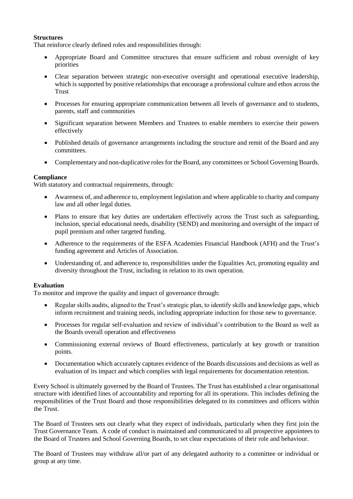# **Structures**

That reinforce clearly defined roles and responsibilities through:

- Appropriate Board and Committee structures that ensure sufficient and robust oversight of key priorities
- Clear separation between strategic non-executive oversight and operational executive leadership, which is supported by positive relationships that encourage a professional culture and ethos across the Trust
- Processes for ensuring appropriate communication between all levels of governance and to students, parents, staff and communities
- Significant separation between Members and Trustees to enable members to exercise their powers effectively
- Published details of governance arrangements including the structure and remit of the Board and any committees.
- Complementary and non-duplicative roles for the Board, any committees or School Governing Boards.

# **Compliance**

With statutory and contractual requirements, through:

- Awareness of, and adherence to, employment legislation and where applicable to charity and company law and all other legal duties.
- Plans to ensure that key duties are undertaken effectively across the Trust such as safeguarding, inclusion, special educational needs, disability (SEND) and monitoring and oversight of the impact of pupil premium and other targeted funding.
- Adherence to the requirements of the ESFA Academies Financial Handbook (AFH) and the Trust's funding agreement and Articles of Association.
- Understanding of, and adherence to, responsibilities under the Equalities Act, promoting equality and diversity throughout the Trust, including in relation to its own operation.

#### **Evaluation**

To monitor and improve the quality and impact of governance through:

- Regular skills audits, aligned to the Trust's strategic plan, to identify skills and knowledge gaps, which inform recruitment and training needs, including appropriate induction for those new to governance.
- Processes for regular self-evaluation and review of individual's contribution to the Board as well as the Boards overall operation and effectiveness
- Commissioning external reviews of Board effectiveness, particularly at key growth or transition points.
- Documentation which accurately captures evidence of the Boards discussions and decisions as well as evaluation of its impact and which complies with legal requirements for documentation retention.

Every School is ultimately governed by the Board of Trustees. The Trust has established a clear organisational structure with identified lines of accountability and reporting for all its operations. This includes defining the responsibilities of the Trust Board and those responsibilities delegated to its committees and officers within the Trust.

The Board of Trustees sets out clearly what they expect of individuals, particularly when they first join the Trust Governance Team. A code of conduct is maintained and communicated to all prospective appointees to the Board of Trustees and School Governing Boards, to set clear expectations of their role and behaviour.

The Board of Trustees may withdraw all/or part of any delegated authority to a committee or individual or group at any time.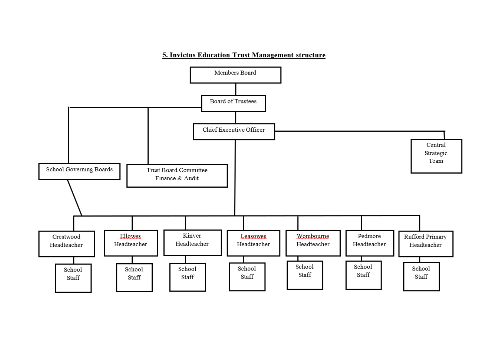# 5. Invictus Education Trust Management structure

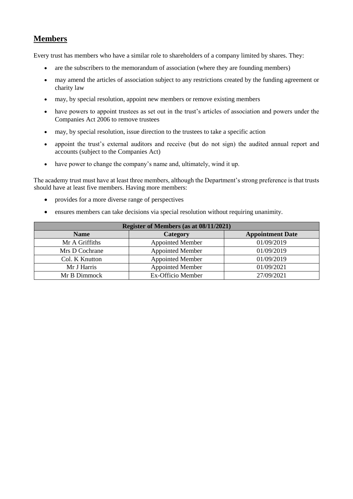# **Members**

Every trust has members who have a similar role to shareholders of a company limited by shares. They:

- are the subscribers to the memorandum of association (where they are founding members)
- may amend the articles of association subject to any restrictions created by the funding agreement or charity law
- may, by special resolution, appoint new members or remove existing members
- have powers to appoint trustees as set out in the trust's articles of association and powers under the Companies Act 2006 to remove trustees
- may, by special resolution, issue direction to the trustees to take a specific action
- appoint the trust's external auditors and receive (but do not sign) the audited annual report and accounts (subject to the Companies Act)
- have power to change the company's name and, ultimately, wind it up.

The academy trust must have at least three members, although the Department's strong preference is that trusts should have at least five members. Having more members:

- provides for a more diverse range of perspectives
- ensures members can take decisions via special resolution without requiring unanimity.

| Register of Members (as at 08/11/2021) |                         |                         |  |  |  |  |  |  |  |  |
|----------------------------------------|-------------------------|-------------------------|--|--|--|--|--|--|--|--|
| <b>Name</b>                            | Category                | <b>Appointment Date</b> |  |  |  |  |  |  |  |  |
| Mr A Griffiths                         | <b>Appointed Member</b> | 01/09/2019              |  |  |  |  |  |  |  |  |
| Mrs D Cochrane                         | Appointed Member        | 01/09/2019              |  |  |  |  |  |  |  |  |
| Col. K Knutton                         | <b>Appointed Member</b> | 01/09/2019              |  |  |  |  |  |  |  |  |
| Mr J Harris                            | <b>Appointed Member</b> | 01/09/2021              |  |  |  |  |  |  |  |  |
| Mr B Dimmock                           | Ex-Officio Member       | 27/09/2021              |  |  |  |  |  |  |  |  |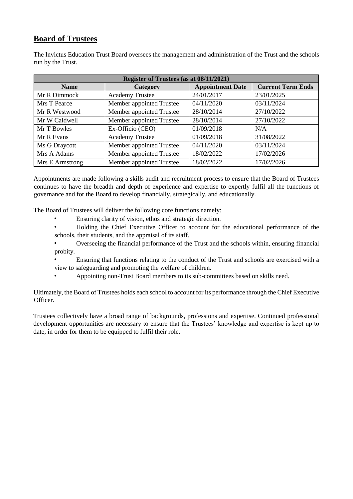# **Board of Trustees**

The Invictus Education Trust Board oversees the management and administration of the Trust and the schools run by the Trust.

|                 |                          | Register of Trustees (as at 08/11/2021) |                          |  |  |  |  |  |  |  |  |  |
|-----------------|--------------------------|-----------------------------------------|--------------------------|--|--|--|--|--|--|--|--|--|
| <b>Name</b>     | Category                 | <b>Appointment Date</b>                 | <b>Current Term Ends</b> |  |  |  |  |  |  |  |  |  |
| Mr R Dimmock    | <b>Academy Trustee</b>   | 24/01/2017                              | 23/01/2025               |  |  |  |  |  |  |  |  |  |
| Mrs T Pearce    | Member appointed Trustee | 04/11/2020                              | 03/11/2024               |  |  |  |  |  |  |  |  |  |
| Mr R Westwood   | Member appointed Trustee | 28/10/2014                              | 27/10/2022               |  |  |  |  |  |  |  |  |  |
| Mr W Caldwell   | Member appointed Trustee | 28/10/2014                              | 27/10/2022               |  |  |  |  |  |  |  |  |  |
| Mr T Bowles     | Ex-Officio (CEO)         | 01/09/2018                              | N/A                      |  |  |  |  |  |  |  |  |  |
| Mr R Evans      | <b>Academy Trustee</b>   | 01/09/2018                              | 31/08/2022               |  |  |  |  |  |  |  |  |  |
| Ms G Draycott   | Member appointed Trustee | 04/11/2020                              | 03/11/2024               |  |  |  |  |  |  |  |  |  |
| Mrs A Adams     | Member appointed Trustee | 18/02/2022                              | 17/02/2026               |  |  |  |  |  |  |  |  |  |
| Mrs E Armstrong | Member appointed Trustee | 18/02/2022                              | 17/02/2026               |  |  |  |  |  |  |  |  |  |

Appointments are made following a skills audit and recruitment process to ensure that the Board of Trustees continues to have the breadth and depth of experience and expertise to expertly fulfil all the functions of governance and for the Board to develop financially, strategically, and educationally.

The Board of Trustees will deliver the following core functions namely:

- Ensuring clarity of vision, ethos and strategic direction.
- Holding the Chief Executive Officer to account for the educational performance of the schools, their students, and the appraisal of its staff.
- Overseeing the financial performance of the Trust and the schools within, ensuring financial probity.
- Ensuring that functions relating to the conduct of the Trust and schools are exercised with a view to safeguarding and promoting the welfare of children.
- Appointing non-Trust Board members to its sub-committees based on skills need.

Ultimately, the Board of Trustees holds each school to account for its performance through the Chief Executive Officer.

Trustees collectively have a broad range of backgrounds, professions and expertise. Continued professional development opportunities are necessary to ensure that the Trustees' knowledge and expertise is kept up to date, in order for them to be equipped to fulfil their role.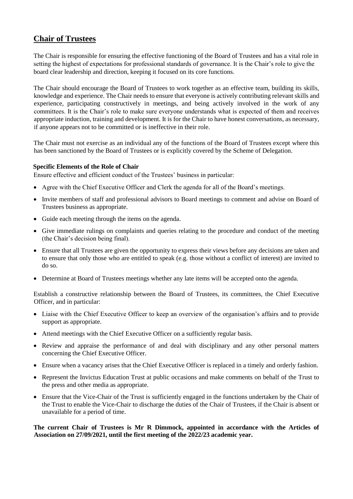# **Chair of Trustees**

The Chair is responsible for ensuring the effective functioning of the Board of Trustees and has a vital role in setting the highest of expectations for professional standards of governance. It is the Chair's role to give the board clear leadership and direction, keeping it focused on its core functions.

The Chair should encourage the Board of Trustees to work together as an effective team, building its skills, knowledge and experience. The Chair needs to ensure that everyone is actively contributing relevant skills and experience, participating constructively in meetings, and being actively involved in the work of any committees. It is the Chair's role to make sure everyone understands what is expected of them and receives appropriate induction, training and development. It is for the Chair to have honest conversations, as necessary, if anyone appears not to be committed or is ineffective in their role.

The Chair must not exercise as an individual any of the functions of the Board of Trustees except where this has been sanctioned by the Board of Trustees or is explicitly covered by the Scheme of Delegation.

# **Specific Elements of the Role of Chair**

Ensure effective and efficient conduct of the Trustees' business in particular:

- Agree with the Chief Executive Officer and Clerk the agenda for all of the Board's meetings.
- Invite members of staff and professional advisors to Board meetings to comment and advise on Board of Trustees business as appropriate.
- Guide each meeting through the items on the agenda.
- Give immediate rulings on complaints and queries relating to the procedure and conduct of the meeting (the Chair's decision being final).
- Ensure that all Trustees are given the opportunity to express their views before any decisions are taken and to ensure that only those who are entitled to speak (e.g. those without a conflict of interest) are invited to do so.
- Determine at Board of Trustees meetings whether any late items will be accepted onto the agenda.

Establish a constructive relationship between the Board of Trustees, its committees, the Chief Executive Officer, and in particular:

- Liaise with the Chief Executive Officer to keep an overview of the organisation's affairs and to provide support as appropriate.
- Attend meetings with the Chief Executive Officer on a sufficiently regular basis.
- Review and appraise the performance of and deal with disciplinary and any other personal matters concerning the Chief Executive Officer.
- Ensure when a vacancy arises that the Chief Executive Officer is replaced in a timely and orderly fashion.
- Represent the Invictus Education Trust at public occasions and make comments on behalf of the Trust to the press and other media as appropriate.
- Ensure that the Vice-Chair of the Trust is sufficiently engaged in the functions undertaken by the Chair of the Trust to enable the Vice-Chair to discharge the duties of the Chair of Trustees, if the Chair is absent or unavailable for a period of time.

#### **The current Chair of Trustees is Mr R Dimmock, appointed in accordance with the Articles of Association on 27/09/2021, until the first meeting of the 2022/23 academic year.**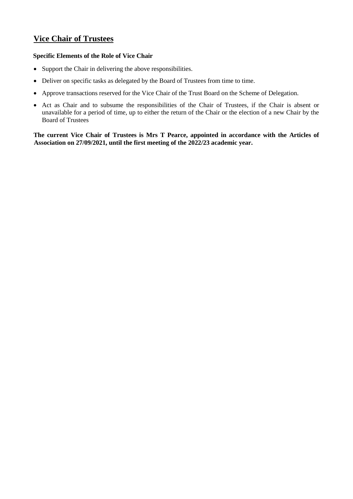# **Vice Chair of Trustees**

# **Specific Elements of the Role of Vice Chair**

- Support the Chair in delivering the above responsibilities.
- Deliver on specific tasks as delegated by the Board of Trustees from time to time.
- Approve transactions reserved for the Vice Chair of the Trust Board on the Scheme of Delegation.
- Act as Chair and to subsume the responsibilities of the Chair of Trustees, if the Chair is absent or unavailable for a period of time, up to either the return of the Chair or the election of a new Chair by the Board of Trustees

**The current Vice Chair of Trustees is Mrs T Pearce, appointed in accordance with the Articles of Association on 27/09/2021, until the first meeting of the 2022/23 academic year.**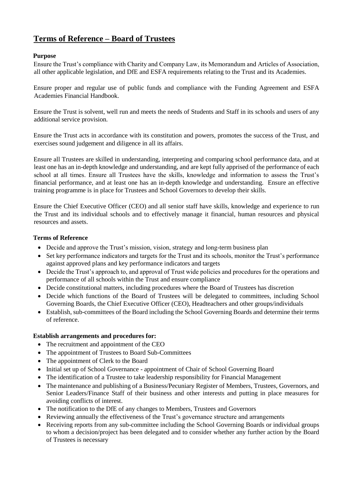# **Terms of Reference – Board of Trustees**

# **Purpose**

Ensure the Trust's compliance with Charity and Company Law, its Memorandum and Articles of Association, all other applicable legislation, and DfE and ESFA requirements relating to the Trust and its Academies.

Ensure proper and regular use of public funds and compliance with the Funding Agreement and ESFA Academies Financial Handbook.

Ensure the Trust is solvent, well run and meets the needs of Students and Staff in its schools and users of any additional service provision.

Ensure the Trust acts in accordance with its constitution and powers, promotes the success of the Trust, and exercises sound judgement and diligence in all its affairs.

Ensure all Trustees are skilled in understanding, interpreting and comparing school performance data, and at least one has an in-depth knowledge and understanding, and are kept fully apprised of the performance of each school at all times. Ensure all Trustees have the skills, knowledge and information to assess the Trust's financial performance, and at least one has an in-depth knowledge and understanding. Ensure an effective training programme is in place for Trustees and School Governors to develop their skills.

Ensure the Chief Executive Officer (CEO) and all senior staff have skills, knowledge and experience to run the Trust and its individual schools and to effectively manage it financial, human resources and physical resources and assets.

### **Terms of Reference**

- Decide and approve the Trust's mission, vision, strategy and long-term business plan
- Set key performance indicators and targets for the Trust and its schools, monitor the Trust's performance against approved plans and key performance indicators and targets
- Decide the Trust's approach to, and approval of Trust wide policies and procedures for the operations and performance of all schools within the Trust and ensure compliance
- Decide constitutional matters, including procedures where the Board of Trustees has discretion
- Decide which functions of the Board of Trustees will be delegated to committees, including School Governing Boards, the Chief Executive Officer (CEO), Headteachers and other groups/individuals
- Establish, sub-committees of the Board including the School Governing Boards and determine their terms of reference.

# **Establish arrangements and procedures for:**

- The recruitment and appointment of the CEO
- The appointment of Trustees to Board Sub-Committees
- The appointment of Clerk to the Board
- Initial set up of School Governance appointment of Chair of School Governing Board
- The identification of a Trustee to take leadership responsibility for Financial Management
- The maintenance and publishing of a Business/Pecuniary Register of Members, Trustees, Governors, and Senior Leaders/Finance Staff of their business and other interests and putting in place measures for avoiding conflicts of interest.
- The notification to the DfE of any changes to Members, Trustees and Governors
- Reviewing annually the effectiveness of the Trust's governance structure and arrangements
- Receiving reports from any sub-committee including the School Governing Boards or individual groups to whom a decision/project has been delegated and to consider whether any further action by the Board of Trustees is necessary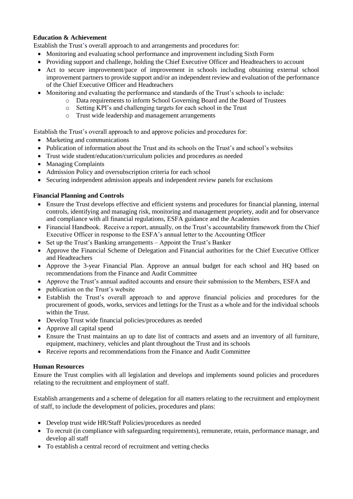### **Education & Achievement**

Establish the Trust's overall approach to and arrangements and procedures for:

- Monitoring and evaluating school performance and improvement including Sixth Form
- Providing support and challenge, holding the Chief Executive Officer and Headteachers to account
- Act to secure improvement/pace of improvement in schools including obtaining external school improvement partners to provide support and/or an independent review and evaluation of the performance of the Chief Executive Officer and Headteachers
- Monitoring and evaluating the performance and standards of the Trust's schools to include:
	- o Data requirements to inform School Governing Board and the Board of Trustees
	- o Setting KPI's and challenging targets for each school in the Trust
	- o Trust wide leadership and management arrangements

Establish the Trust's overall approach to and approve policies and procedures for:

- Marketing and communications
- Publication of information about the Trust and its schools on the Trust's and school's websites
- Trust wide student/education/curriculum policies and procedures as needed
- Managing Complaints
- Admission Policy and oversubscription criteria for each school
- Securing independent admission appeals and independent review panels for exclusions

# **Financial Planning and Controls**

- Ensure the Trust develops effective and efficient systems and procedures for financial planning, internal controls, identifying and managing risk, monitoring and management propriety, audit and for observance and compliance with all financial regulations, ESFA guidance and the Academies
- Financial Handbook. Receive a report, annually, on the Trust's accountability framework from the Chief Executive Officer in response to the ESFA's annual letter to the Accounting Officer
- Set up the Trust's Banking arrangements Appoint the Trust's Banker
- Approve the Financial Scheme of Delegation and Financial authorities for the Chief Executive Officer and Headteachers
- Approve the 3-year Financial Plan. Approve an annual budget for each school and HO based on recommendations from the Finance and Audit Committee
- Approve the Trust's annual audited accounts and ensure their submission to the Members, ESFA and
- publication on the Trust's website
- Establish the Trust's overall approach to and approve financial policies and procedures for the procurement of goods, works, services and lettings for the Trust as a whole and for the individual schools within the Trust.
- Develop Trust wide financial policies/procedures as needed
- Approve all capital spend
- Ensure the Trust maintains an up to date list of contracts and assets and an inventory of all furniture, equipment, machinery, vehicles and plant throughout the Trust and its schools
- Receive reports and recommendations from the Finance and Audit Committee

# **Human Resources**

Ensure the Trust complies with all legislation and develops and implements sound policies and procedures relating to the recruitment and employment of staff.

Establish arrangements and a scheme of delegation for all matters relating to the recruitment and employment of staff, to include the development of policies, procedures and plans:

- Develop trust wide HR/Staff Policies/procedures as needed
- To recruit (in compliance with safeguarding requirements), remunerate, retain, performance manage, and develop all staff
- To establish a central record of recruitment and vetting checks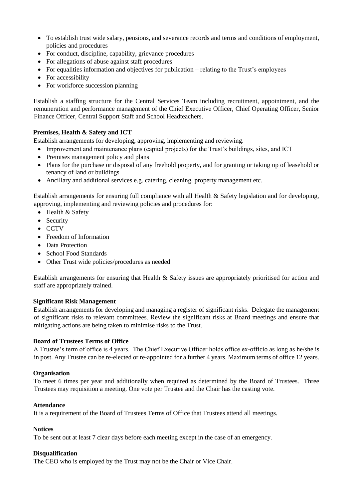- To establish trust wide salary, pensions, and severance records and terms and conditions of employment, policies and procedures
- For conduct, discipline, capability, grievance procedures
- For allegations of abuse against staff procedures
- For equalities information and objectives for publication relating to the Trust's employees
- For accessibility
- For workforce succession planning

Establish a staffing structure for the Central Services Team including recruitment, appointment, and the remuneration and performance management of the Chief Executive Officer, Chief Operating Officer, Senior Finance Officer, Central Support Staff and School Headteachers.

### **Premises, Health & Safety and ICT**

Establish arrangements for developing, approving, implementing and reviewing.

- Improvement and maintenance plans (capital projects) for the Trust's buildings, sites, and ICT
- Premises management policy and plans
- Plans for the purchase or disposal of any freehold property, and for granting or taking up of leasehold or tenancy of land or buildings
- Ancillary and additional services e.g. catering, cleaning, property management etc.

Establish arrangements for ensuring full compliance with all Health & Safety legislation and for developing, approving, implementing and reviewing policies and procedures for:

- Health & Safety
- Security
- CCTV
- Freedom of Information
- Data Protection
- School Food Standards
- Other Trust wide policies/procedures as needed

Establish arrangements for ensuring that Health & Safety issues are appropriately prioritised for action and staff are appropriately trained.

#### **Significant Risk Management**

Establish arrangements for developing and managing a register of significant risks. Delegate the management of significant risks to relevant committees. Review the significant risks at Board meetings and ensure that mitigating actions are being taken to minimise risks to the Trust.

#### **Board of Trustees Terms of Office**

A Trustee's term of office is 4 years. The Chief Executive Officer holds office ex-officio as long as he/she is in post. Any Trustee can be re-elected or re-appointed for a further 4 years. Maximum terms of office 12 years.

#### **Organisation**

To meet 6 times per year and additionally when required as determined by the Board of Trustees. Three Trustees may requisition a meeting. One vote per Trustee and the Chair has the casting vote.

#### **Attendance**

It is a requirement of the Board of Trustees Terms of Office that Trustees attend all meetings.

#### **Notices**

To be sent out at least 7 clear days before each meeting except in the case of an emergency.

#### **Disqualification**

The CEO who is employed by the Trust may not be the Chair or Vice Chair.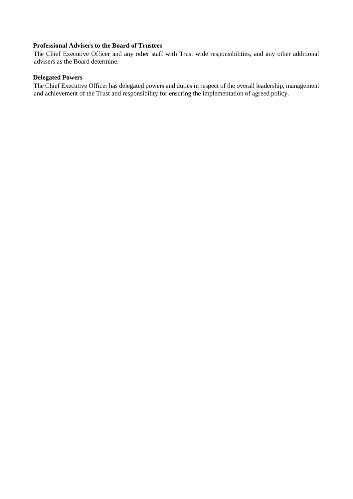# **Professional Advisers to the Board of Trustees**

The Chief Executive Officer and any other staff with Trust wide responsibilities, and any other additional advisers as the Board determine.

### **Delegated Powers**

The Chief Executive Officer has delegated powers and duties in respect of the overall leadership, management and achievement of the Trust and responsibility for ensuring the implementation of agreed policy.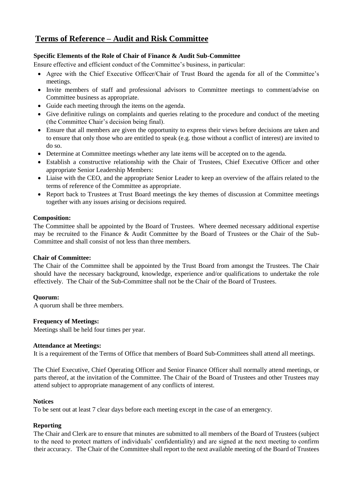# **Terms of Reference – Audit and Risk Committee**

# **Specific Elements of the Role of Chair of Finance & Audit Sub-Committee**

Ensure effective and efficient conduct of the Committee's business, in particular:

- Agree with the Chief Executive Officer/Chair of Trust Board the agenda for all of the Committee's meetings.
- Invite members of staff and professional advisors to Committee meetings to comment/advise on Committee business as appropriate.
- Guide each meeting through the items on the agenda.
- Give definitive rulings on complaints and queries relating to the procedure and conduct of the meeting (the Committee Chair's decision being final).
- Ensure that all members are given the opportunity to express their views before decisions are taken and to ensure that only those who are entitled to speak (e.g. those without a conflict of interest) are invited to do so.
- Determine at Committee meetings whether any late items will be accepted on to the agenda.
- Establish a constructive relationship with the Chair of Trustees, Chief Executive Officer and other appropriate Senior Leadership Members:
- Liaise with the CEO, and the appropriate Senior Leader to keep an overview of the affairs related to the terms of reference of the Committee as appropriate.
- Report back to Trustees at Trust Board meetings the key themes of discussion at Committee meetings together with any issues arising or decisions required.

### **Composition:**

The Committee shall be appointed by the Board of Trustees. Where deemed necessary additional expertise may be recruited to the Finance & Audit Committee by the Board of Trustees or the Chair of the Sub-Committee and shall consist of not less than three members.

#### **Chair of Committee:**

The Chair of the Committee shall be appointed by the Trust Board from amongst the Trustees. The Chair should have the necessary background, knowledge, experience and/or qualifications to undertake the role effectively. The Chair of the Sub-Committee shall not be the Chair of the Board of Trustees.

# **Quorum:**

A quorum shall be three members.

# **Frequency of Meetings:**

Meetings shall be held four times per year.

#### **Attendance at Meetings:**

It is a requirement of the Terms of Office that members of Board Sub-Committees shall attend all meetings.

The Chief Executive, Chief Operating Officer and Senior Finance Officer shall normally attend meetings, or parts thereof, at the invitation of the Committee. The Chair of the Board of Trustees and other Trustees may attend subject to appropriate management of any conflicts of interest.

#### **Notices**

To be sent out at least 7 clear days before each meeting except in the case of an emergency.

# **Reporting**

The Chair and Clerk are to ensure that minutes are submitted to all members of the Board of Trustees (subject to the need to protect matters of individuals' confidentiality) and are signed at the next meeting to confirm their accuracy. The Chair of the Committee shall report to the next available meeting of the Board of Trustees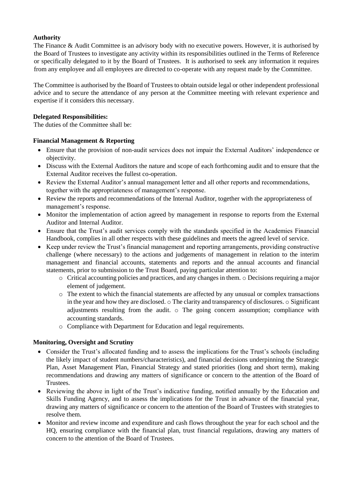### **Authority**

The Finance & Audit Committee is an advisory body with no executive powers. However, it is authorised by the Board of Trustees to investigate any activity within its responsibilities outlined in the Terms of Reference or specifically delegated to it by the Board of Trustees. It is authorised to seek any information it requires from any employee and all employees are directed to co-operate with any request made by the Committee.

The Committee is authorised by the Board of Trustees to obtain outside legal or other independent professional advice and to secure the attendance of any person at the Committee meeting with relevant experience and expertise if it considers this necessary.

### **Delegated Responsibilities:**

The duties of the Committee shall be:

### **Financial Management & Reporting**

- Ensure that the provision of non-audit services does not impair the External Auditors' independence or objectivity.
- Discuss with the External Auditors the nature and scope of each forthcoming audit and to ensure that the External Auditor receives the fullest co-operation.
- Review the External Auditor's annual management letter and all other reports and recommendations, together with the appropriateness of management's response.
- Review the reports and recommendations of the Internal Auditor, together with the appropriateness of management's response.
- Monitor the implementation of action agreed by management in response to reports from the External Auditor and Internal Auditor.
- Ensure that the Trust's audit services comply with the standards specified in the Academies Financial Handbook, complies in all other respects with these guidelines and meets the agreed level of service.
- Keep under review the Trust's financial management and reporting arrangements, providing constructive challenge (where necessary) to the actions and judgements of management in relation to the interim management and financial accounts, statements and reports and the annual accounts and financial statements, prior to submission to the Trust Board, paying particular attention to:
	- $\circ$  Critical accounting policies and practices, and any changes in them.  $\circ$  Decisions requiring a major element of judgement.
	- o The extent to which the financial statements are affected by any unusual or complex transactions in the year and how they are disclosed.  $\circ$  The clarity and transparency of disclosures.  $\circ$  Significant adjustments resulting from the audit.  $\circ$  The going concern assumption; compliance with accounting standards.
	- o Compliance with Department for Education and legal requirements.

# **Monitoring, Oversight and Scrutiny**

- Consider the Trust's allocated funding and to assess the implications for the Trust's schools (including the likely impact of student numbers/characteristics), and financial decisions underpinning the Strategic Plan, Asset Management Plan, Financial Strategy and stated priorities (long and short term), making recommendations and drawing any matters of significance or concern to the attention of the Board of Trustees.
- Reviewing the above in light of the Trust's indicative funding, notified annually by the Education and Skills Funding Agency, and to assess the implications for the Trust in advance of the financial year, drawing any matters of significance or concern to the attention of the Board of Trustees with strategies to resolve them.
- Monitor and review income and expenditure and cash flows throughout the year for each school and the HQ, ensuring compliance with the financial plan, trust financial regulations, drawing any matters of concern to the attention of the Board of Trustees.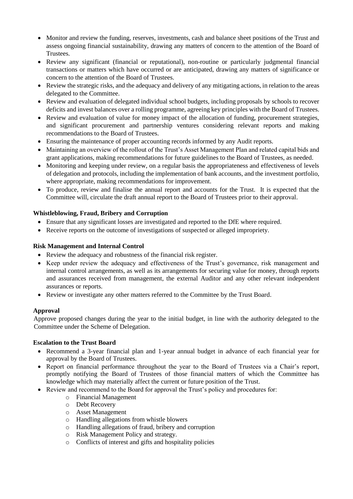- Monitor and review the funding, reserves, investments, cash and balance sheet positions of the Trust and assess ongoing financial sustainability, drawing any matters of concern to the attention of the Board of Trustees.
- Review any significant (financial or reputational), non-routine or particularly judgmental financial transactions or matters which have occurred or are anticipated, drawing any matters of significance or concern to the attention of the Board of Trustees.
- Review the strategic risks, and the adequacy and delivery of any mitigating actions, in relation to the areas delegated to the Committee.
- Review and evaluation of delegated individual school budgets, including proposals by schools to recover deficits and invest balances over a rolling programme, agreeing key principles with the Board of Trustees.
- Review and evaluation of value for money impact of the allocation of funding, procurement strategies, and significant procurement and partnership ventures considering relevant reports and making recommendations to the Board of Trustees.
- Ensuring the maintenance of proper accounting records informed by any Audit reports.
- Maintaining an overview of the rollout of the Trust's Asset Management Plan and related capital bids and grant applications, making recommendations for future guidelines to the Board of Trustees, as needed.
- Monitoring and keeping under review, on a regular basis the appropriateness and effectiveness of levels of delegation and protocols, including the implementation of bank accounts, and the investment portfolio, where appropriate, making recommendations for improvement.
- To produce, review and finalise the annual report and accounts for the Trust. It is expected that the Committee will, circulate the draft annual report to the Board of Trustees prior to their approval.

# **Whistleblowing, Fraud, Bribery and Corruption**

- Ensure that any significant losses are investigated and reported to the DfE where required.
- Receive reports on the outcome of investigations of suspected or alleged impropriety.

# **Risk Management and Internal Control**

- Review the adequacy and robustness of the financial risk register.
- Keep under review the adequacy and effectiveness of the Trust's governance, risk management and internal control arrangements, as well as its arrangements for securing value for money, through reports and assurances received from management, the external Auditor and any other relevant independent assurances or reports.
- Review or investigate any other matters referred to the Committee by the Trust Board.

# **Approval**

Approve proposed changes during the year to the initial budget, in line with the authority delegated to the Committee under the Scheme of Delegation.

# **Escalation to the Trust Board**

- Recommend a 3-year financial plan and 1-year annual budget in advance of each financial year for approval by the Board of Trustees.
- Report on financial performance throughout the year to the Board of Trustees via a Chair's report, promptly notifying the Board of Trustees of those financial matters of which the Committee has knowledge which may materially affect the current or future position of the Trust.
- Review and recommend to the Board for approval the Trust's policy and procedures for:
	- o Financial Management
	- o Debt Recovery
	- o Asset Management
	- o Handling allegations from whistle blowers
	- o Handling allegations of fraud, bribery and corruption
	- o Risk Management Policy and strategy.
	- o Conflicts of interest and gifts and hospitality policies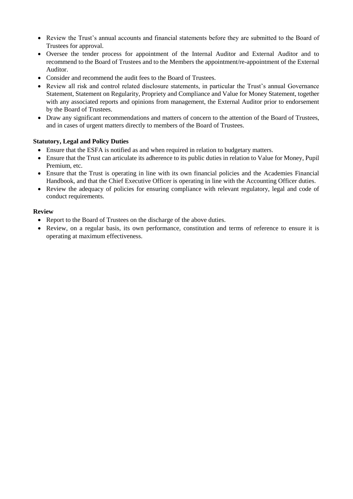- Review the Trust's annual accounts and financial statements before they are submitted to the Board of Trustees for approval.
- Oversee the tender process for appointment of the Internal Auditor and External Auditor and to recommend to the Board of Trustees and to the Members the appointment/re-appointment of the External Auditor.
- Consider and recommend the audit fees to the Board of Trustees.
- Review all risk and control related disclosure statements, in particular the Trust's annual Governance Statement, Statement on Regularity, Propriety and Compliance and Value for Money Statement, together with any associated reports and opinions from management, the External Auditor prior to endorsement by the Board of Trustees.
- Draw any significant recommendations and matters of concern to the attention of the Board of Trustees, and in cases of urgent matters directly to members of the Board of Trustees.

# **Statutory, Legal and Policy Duties**

- Ensure that the ESFA is notified as and when required in relation to budgetary matters.
- Ensure that the Trust can articulate its adherence to its public duties in relation to Value for Money, Pupil Premium, etc.
- Ensure that the Trust is operating in line with its own financial policies and the Academies Financial Handbook, and that the Chief Executive Officer is operating in line with the Accounting Officer duties.
- Review the adequacy of policies for ensuring compliance with relevant regulatory, legal and code of conduct requirements.

# **Review**

- Report to the Board of Trustees on the discharge of the above duties.
- Review, on a regular basis, its own performance, constitution and terms of reference to ensure it is operating at maximum effectiveness.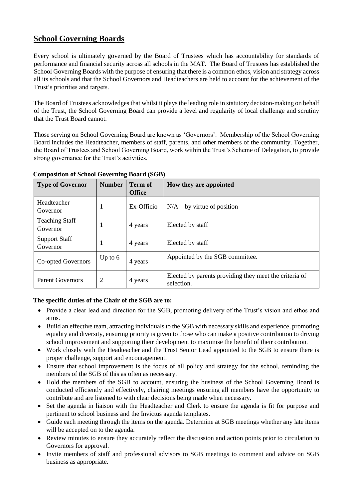# **School Governing Boards**

Every school is ultimately governed by the Board of Trustees which has accountability for standards of performance and financial security across all schools in the MAT. The Board of Trustees has established the School Governing Boards with the purpose of ensuring that there is a common ethos, vision and strategy across all its schools and that the School Governors and Headteachers are held to account for the achievement of the Trust's priorities and targets.

The Board of Trustees acknowledges that whilst it plays the leading role in statutory decision-making on behalf of the Trust, the School Governing Board can provide a level and regularity of local challenge and scrutiny that the Trust Board cannot.

Those serving on School Governing Board are known as 'Governors'. Membership of the School Governing Board includes the Headteacher, members of staff, parents, and other members of the community. Together, the Board of Trustees and School Governing Board, work within the Trust's Scheme of Delegation, to provide strong governance for the Trust's activities.

| <b>Type of Governor</b>           | <b>Number</b> | <b>Term of</b><br><b>Office</b> | How they are appointed                                               |
|-----------------------------------|---------------|---------------------------------|----------------------------------------------------------------------|
| Headteacher<br>Governor           | 1             | Ex-Officio                      | $N/A - by$ virtue of position                                        |
| <b>Teaching Staff</b><br>Governor | 1             | 4 years                         | Elected by staff                                                     |
| <b>Support Staff</b><br>Governor  |               | 4 years                         | Elected by staff                                                     |
| Co-opted Governors                | Up to $6$     | 4 years                         | Appointed by the SGB committee.                                      |
| <b>Parent Governors</b>           | 2             | 4 years                         | Elected by parents providing they meet the criteria of<br>selection. |

# **Composition of School Governing Board (SGB)**

# **The specific duties of the Chair of the SGB are to:**

- Provide a clear lead and direction for the SGB, promoting delivery of the Trust's vision and ethos and aims.
- Build an effective team, attracting individuals to the SGB with necessary skills and experience, promoting equality and diversity, ensuring priority is given to those who can make a positive contribution to driving school improvement and supporting their development to maximise the benefit of their contribution.
- Work closely with the Headteacher and the Trust Senior Lead appointed to the SGB to ensure there is proper challenge, support and encouragement.
- Ensure that school improvement is the focus of all policy and strategy for the school, reminding the members of the SGB of this as often as necessary.
- Hold the members of the SGB to account, ensuring the business of the School Governing Board is conducted efficiently and effectively, chairing meetings ensuring all members have the opportunity to contribute and are listened to with clear decisions being made when necessary.
- Set the agenda in liaison with the Headteacher and Clerk to ensure the agenda is fit for purpose and pertinent to school business and the Invictus agenda templates.
- Guide each meeting through the items on the agenda. Determine at SGB meetings whether any late items will be accepted on to the agenda.
- Review minutes to ensure they accurately reflect the discussion and action points prior to circulation to Governors for approval.
- Invite members of staff and professional advisors to SGB meetings to comment and advice on SGB business as appropriate.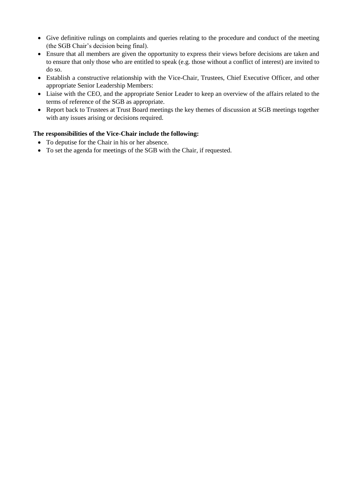- Give definitive rulings on complaints and queries relating to the procedure and conduct of the meeting (the SGB Chair's decision being final).
- Ensure that all members are given the opportunity to express their views before decisions are taken and to ensure that only those who are entitled to speak (e.g. those without a conflict of interest) are invited to do so.
- Establish a constructive relationship with the Vice-Chair, Trustees, Chief Executive Officer, and other appropriate Senior Leadership Members:
- Liaise with the CEO, and the appropriate Senior Leader to keep an overview of the affairs related to the terms of reference of the SGB as appropriate.
- Report back to Trustees at Trust Board meetings the key themes of discussion at SGB meetings together with any issues arising or decisions required.

# **The responsibilities of the Vice-Chair include the following:**

- To deputise for the Chair in his or her absence.
- To set the agenda for meetings of the SGB with the Chair, if requested.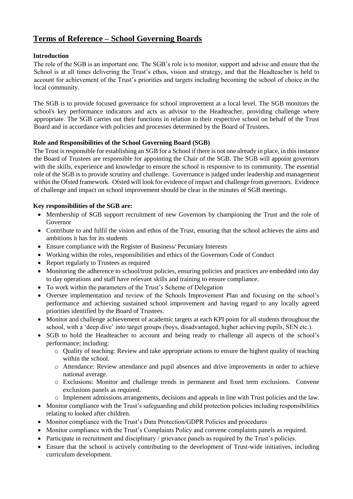# **Terms of Reference – School Governing Boards**

# **Introduction**

The role of the SGB is an important one. The SGB's role is to monitor, support and advise and ensure that the School is at all times delivering the Trust's ethos, vision and strategy, and that the Headteacher is held to account for achievement of the Trust's priorities and targets including becoming the school of choice in the local community.

The SGB is to provide focused governance for school improvement at a local level. The SGB monitors the school's key performance indicators and acts as advisor to the Headteacher, providing challenge where appropriate. The SGB carries out their functions in relation to their respective school on behalf of the Trust Board and in accordance with policies and processes determined by the Board of Trustees.

# **Role and Responsibilities of the School Governing Board (SGB)**

The Trust is responsible for establishing an SGB for a School if there is not one already in place, in this instance the Board of Trustees are responsible for appointing the Chair of the SGB. The SGB will appoint governors with the skills, experience and knowledge to ensure the school is responsive to its community. The essential role of the SGB is to provide scrutiny and challenge. Governance is judged under leadership and management within the Ofsted framework. Ofsted will look for evidence of impact and challenge from governors. Evidence of challenge and impact on school improvement should be clear in the minutes of SGB meetings.

# **Key responsibilities of the SGB are:**

- Membership of SGB support recruitment of new Governors by championing the Trust and the role of Governor
- Contribute to and fulfil the vision and ethos of the Trust, ensuring that the school achieves the aims and ambitions it has for its students
- Ensure compliance with the Register of Business/ Pecuniary Interests
- Working within the roles, responsibilities and ethics of the Governors Code of Conduct
- Report regularly to Trustees as required
- Monitoring the adherence to school/trust policies, ensuring policies and practices are embedded into day to day operations and staff have relevant skills and training to ensure compliance.
- To work within the parameters of the Trust's Scheme of Delegation
- Oversee implementation and review of the Schools Improvement Plan and focusing on the school's performance and achieving sustained school improvement and having regard to any locally agreed priorities identified by the Board of Trustees.
- Monitor and challenge achievement of academic targets at each KPI point for all students throughout the school, with a 'deep dive' into target groups (boys, disadvantaged, higher achieving pupils, SEN etc.).
- SGB to hold the Headteacher to account and being ready to challenge all aspects of the school's performance; including:
	- o Quality of teaching: Review and take appropriate actions to ensure the highest quality of teaching within the school.
	- o Attendance: Review attendance and pupil absences and drive improvements in order to achieve national average.
	- o Exclusions: Monitor and challenge trends in permanent and fixed term exclusions. Convene exclusions panels as required.
	- o Implement admissions arrangements, decisions and appeals in line with Trust policies and the law.
- Monitor compliance with the Trust's safeguarding and child protection policies including responsibilities relating to looked after children.
- Monitor compliance with the Trust's Data Protection/GDPR Policies and procedures
- Monitor compliance with the Trust's Complaints Policy and convene complaints panels as required.
- Participate in recruitment and disciplinary / grievance panels as required by the Trust's policies.
- Ensure that the school is actively contributing to the development of Trust-wide initiatives, including curriculum development.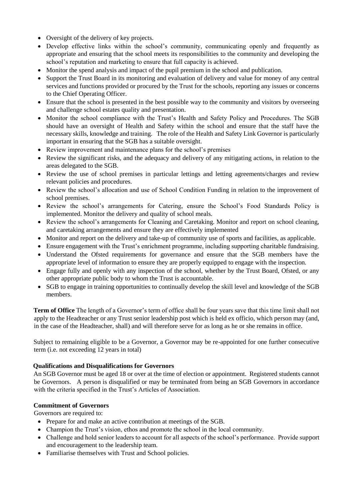- Oversight of the delivery of key projects.
- Develop effective links within the school's community, communicating openly and frequently as appropriate and ensuring that the school meets its responsibilities to the community and developing the school's reputation and marketing to ensure that full capacity is achieved.
- Monitor the spend analysis and impact of the pupil premium in the school and publication.
- Support the Trust Board in its monitoring and evaluation of delivery and value for money of any central services and functions provided or procured by the Trust for the schools, reporting any issues or concerns to the Chief Operating Officer.
- Ensure that the school is presented in the best possible way to the community and visitors by overseeing and challenge school estates quality and presentation.
- Monitor the school compliance with the Trust's Health and Safety Policy and Procedures. The SGB should have an oversight of Health and Safety within the school and ensure that the staff have the necessary skills, knowledge and training. The role of the Health and Safety Link Governor is particularly important in ensuring that the SGB has a suitable oversight.
- Review improvement and maintenance plans for the school's premises
- Review the significant risks, and the adequacy and delivery of any mitigating actions, in relation to the areas delegated to the SGB.
- Review the use of school premises in particular lettings and letting agreements/charges and review relevant policies and procedures.
- Review the school's allocation and use of School Condition Funding in relation to the improvement of school premises.
- Review the school's arrangements for Catering, ensure the School's Food Standards Policy is implemented. Monitor the delivery and quality of school meals.
- Review the school's arrangements for Cleaning and Caretaking. Monitor and report on school cleaning, and caretaking arrangements and ensure they are effectively implemented
- Monitor and report on the delivery and take-up of community use of sports and facilities, as applicable.
- Ensure engagement with the Trust's enrichment programme, including supporting charitable fundraising.
- Understand the Ofsted requirements for governance and ensure that the SGB members have the appropriate level of information to ensure they are properly equipped to engage with the inspection.
- Engage fully and openly with any inspection of the school, whether by the Trust Board, Ofsted, or any other appropriate public body to whom the Trust is accountable.
- SGB to engage in training opportunities to continually develop the skill level and knowledge of the SGB members.

**Term of Office** The length of a Governor's term of office shall be four years save that this time limit shall not apply to the Headteacher or any Trust senior leadership post which is held ex officio, which person may (and, in the case of the Headteacher, shall) and will therefore serve for as long as he or she remains in office.

Subject to remaining eligible to be a Governor, a Governor may be re-appointed for one further consecutive term (i.e. not exceeding 12 years in total)

# **Qualifications and Disqualifications for Governors**

An SGB Governor must be aged 18 or over at the time of election or appointment. Registered students cannot be Governors. A person is disqualified or may be terminated from being an SGB Governors in accordance with the criteria specified in the Trust's Articles of Association.

# **Commitment of Governors**

Governors are required to:

- Prepare for and make an active contribution at meetings of the SGB.
- Champion the Trust's vision, ethos and promote the school in the local community.
- Challenge and hold senior leaders to account for all aspects of the school's performance. Provide support and encouragement to the leadership team.
- Familiarise themselves with Trust and School policies.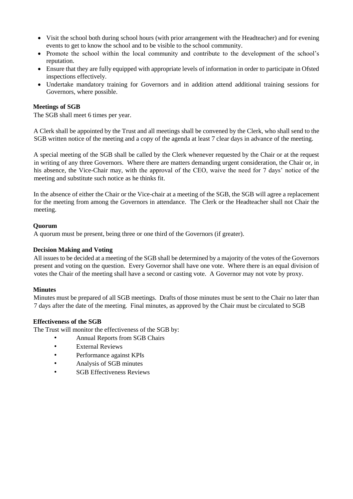- Visit the school both during school hours (with prior arrangement with the Headteacher) and for evening events to get to know the school and to be visible to the school community.
- Promote the school within the local community and contribute to the development of the school's reputation.
- Ensure that they are fully equipped with appropriate levels of information in order to participate in Ofsted inspections effectively.
- Undertake mandatory training for Governors and in addition attend additional training sessions for Governors, where possible.

### **Meetings of SGB**

The SGB shall meet 6 times per year.

A Clerk shall be appointed by the Trust and all meetings shall be convened by the Clerk, who shall send to the SGB written notice of the meeting and a copy of the agenda at least 7 clear days in advance of the meeting.

A special meeting of the SGB shall be called by the Clerk whenever requested by the Chair or at the request in writing of any three Governors. Where there are matters demanding urgent consideration, the Chair or, in his absence, the Vice-Chair may, with the approval of the CEO, waive the need for 7 days' notice of the meeting and substitute such notice as he thinks fit.

In the absence of either the Chair or the Vice-chair at a meeting of the SGB, the SGB will agree a replacement for the meeting from among the Governors in attendance. The Clerk or the Headteacher shall not Chair the meeting.

### **Quorum**

A quorum must be present, being three or one third of the Governors (if greater).

#### **Decision Making and Voting**

All issues to be decided at a meeting of the SGB shall be determined by a majority of the votes of the Governors present and voting on the question. Every Governor shall have one vote. Where there is an equal division of votes the Chair of the meeting shall have a second or casting vote. A Governor may not vote by proxy.

#### **Minutes**

Minutes must be prepared of all SGB meetings. Drafts of those minutes must be sent to the Chair no later than 7 days after the date of the meeting. Final minutes, as approved by the Chair must be circulated to SGB

#### **Effectiveness of the SGB**

The Trust will monitor the effectiveness of the SGB by:

- Annual Reports from SGB Chairs
- **External Reviews**
- Performance against KPIs
- Analysis of SGB minutes
- **SGB** Effectiveness Reviews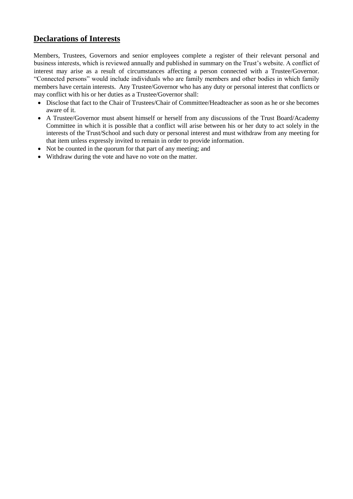# **Declarations of Interests**

Members, Trustees, Governors and senior employees complete a register of their relevant personal and business interests, which is reviewed annually and published in summary on the Trust's website. A conflict of interest may arise as a result of circumstances affecting a person connected with a Trustee/Governor. "Connected persons" would include individuals who are family members and other bodies in which family members have certain interests. Any Trustee/Governor who has any duty or personal interest that conflicts or may conflict with his or her duties as a Trustee/Governor shall:

- Disclose that fact to the Chair of Trustees/Chair of Committee/Headteacher as soon as he or she becomes aware of it.
- A Trustee/Governor must absent himself or herself from any discussions of the Trust Board/Academy Committee in which it is possible that a conflict will arise between his or her duty to act solely in the interests of the Trust/School and such duty or personal interest and must withdraw from any meeting for that item unless expressly invited to remain in order to provide information.
- Not be counted in the quorum for that part of any meeting; and
- Withdraw during the vote and have no vote on the matter.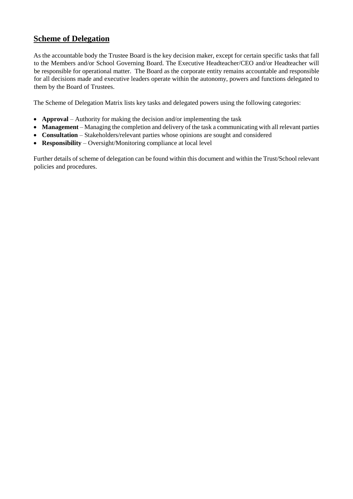# **Scheme of Delegation**

As the accountable body the Trustee Board is the key decision maker, except for certain specific tasks that fall to the Members and/or School Governing Board. The Executive Headteacher/CEO and/or Headteacher will be responsible for operational matter. The Board as the corporate entity remains accountable and responsible for all decisions made and executive leaders operate within the autonomy, powers and functions delegated to them by the Board of Trustees.

The Scheme of Delegation Matrix lists key tasks and delegated powers using the following categories:

- **Approval** Authority for making the decision and/or implementing the task
- **Management** Managing the completion and delivery of the task a communicating with all relevant parties
- **Consultation** Stakeholders/relevant parties whose opinions are sought and considered
- **Responsibility** Oversight/Monitoring compliance at local level

Further details of scheme of delegation can be found within this document and within the Trust/School relevant policies and procedures.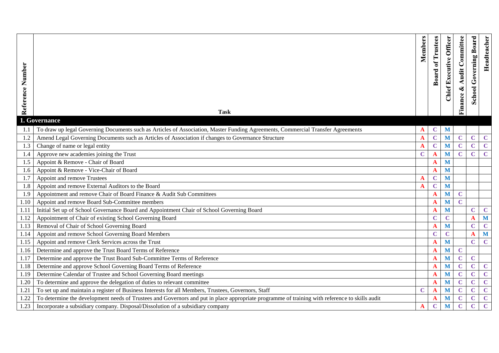| Number<br>Reference | <b>Task</b>                                                                                                                                    | Members     | <b>Board of Trustees</b> | <b>Chief Executive Officer</b> | <b>Audit Committee</b><br>Finance & | <b>School Governing Board</b> | Headteacher    |
|---------------------|------------------------------------------------------------------------------------------------------------------------------------------------|-------------|--------------------------|--------------------------------|-------------------------------------|-------------------------------|----------------|
|                     | 1. Governance                                                                                                                                  |             |                          |                                |                                     |                               |                |
|                     | To draw up legal Governing Documents such as Articles of Association, Master Funding Agreements, Commercial Transfer Agreements                |             | $\mathbf C$              | M                              |                                     |                               |                |
| 1.2                 | Amend Legal Governing Documents such as Articles of Association if changes to Governance Structure                                             | A           | $\mathbf C$              | M                              | $\mathbf C$                         | $\mathbf C$                   | $\mathbf{C}$   |
| 1.3                 | Change of name or legal entity                                                                                                                 | A           | $\mathbf C$              | $\mathbf{M}$                   | $\mathbf C$                         | $\mathbf C$                   | $\mathbf{C}$   |
| 1.4                 | Approve new academies joining the Trust                                                                                                        | $\mathbf C$ | A                        | M                              | $\mathbf C$                         | $\mathbf C$                   | $\mathbf C$    |
| 1.5                 | Appoint & Remove - Chair of Board                                                                                                              |             | A                        | M                              |                                     |                               |                |
| 1.6                 | Appoint & Remove - Vice-Chair of Board                                                                                                         |             | A                        | M                              |                                     |                               |                |
| 1.7                 | Appoint and remove Trustees                                                                                                                    |             | $\mathbf C$              | M                              |                                     |                               |                |
| 1.8                 | Appoint and remove External Auditors to the Board                                                                                              | A           | $\mathbf C$              | M                              |                                     |                               |                |
| 1.9                 | Appointment and remove Chair of Board Finance & Audit Sub Committees                                                                           |             | A                        | M                              | $\mathbf C$                         |                               |                |
| 1.10                | Appoint and remove Board Sub-Committee members                                                                                                 |             | A                        | M                              | $\mathbf C$                         |                               |                |
| 1.11                | Initial Set up of School Governance Board and Appointment Chair of School Governing Board                                                      |             | A                        | $\mathbf{M}$                   |                                     | $\mathbf C$                   | $\mathbf C$    |
| 1.12                | Appointment of Chair of existing School Governing Board                                                                                        |             | $\mathbf C$              | $\mathbf C$                    |                                     | $\mathbf A$                   | M              |
| 1.13                | Removal of Chair of School Governing Board                                                                                                     |             | A                        | M                              |                                     | $\mathbf C$                   | $\mathbf C$    |
| 1.14                | Appoint and remove School Governing Board Members                                                                                              |             | $\overline{\mathbf{C}}$  | $\mathbf C$                    |                                     | A                             | $\mathbf{M}$   |
| 1.15                | Appoint and remove Clerk Services across the Trust                                                                                             |             |                          | M                              |                                     | $\mathbf C$                   | $\mathbf C$    |
| 1.16                | Determine and approve the Trust Board Terms of Reference                                                                                       |             | A                        | M                              | $\mathbf C$                         |                               |                |
| 1.17                | Determine and approve the Trust Board Sub-Committee Terms of Reference                                                                         |             | A                        | M                              | $\mathbf C$                         | $\mathbf C$                   |                |
| 1.18                | Determine and approve School Governing Board Terms of Reference                                                                                |             | A                        | M                              | $\mathbf C$                         | $\mathbf C$                   | $\mathbf C$    |
| 1.19                | Determine Calendar of Trustee and School Governing Board meetings                                                                              |             | A                        | M                              | $\mathbf C$                         | $\mathbf C$                   | $\mathbf C$    |
| 1.20                | To determine and approve the delegation of duties to relevant committee                                                                        |             | A                        | M                              | $\mathbf C$                         | $\mathbf C$                   | $\mathbf{C}$   |
| 1.21                | To set up and maintain a register of Business Interests for all Members, Trustees, Governors, Staff                                            | $\mathbf C$ | A                        | M                              | $\mathbf C$                         | $\mathbf C$                   | $\mathbf{C}$   |
| 1.22                | To determine the development needs of Trustees and Governors and put in place appropriate programme of training with reference to skills audit |             | A                        | M                              | $\mathbf C$                         | $\mathbf C$                   | $\mathbf{C}$   |
| 1.23                | Incorporate a subsidiary company. Disposal/Dissolution of a subsidiary company                                                                 | A           | $\mathbf C$              | M                              | $\mathbf C$                         | $\overline{\mathbf{C}}$       | $\overline{C}$ |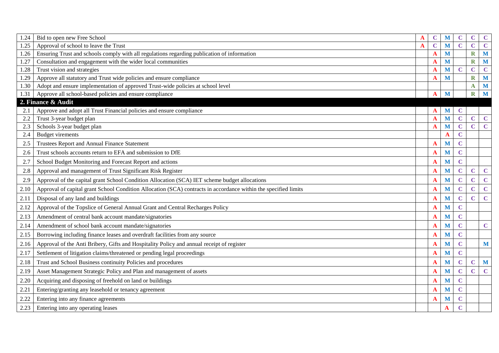| 1.24 | Bid to open new Free School                                                                                     | A | $\mathbf C$ | M | $\mathbf C$    | $\mathbf C$    | $\mathbf C$ |
|------|-----------------------------------------------------------------------------------------------------------------|---|-------------|---|----------------|----------------|-------------|
| 1.25 | Approval of school to leave the Trust                                                                           | A | $\mathbf C$ | M | $\mathbf C$    | $\mathbf C$    | $\mathbf C$ |
| 1.26 | Ensuring Trust and schools comply with all regulations regarding publication of information                     |   | A           | M |                | $\mathbf R$    | M           |
| 1.27 | Consultation and engagement with the wider local communities                                                    |   |             | M |                | $\mathbf R$    | M           |
| 1.28 | Trust vision and strategies                                                                                     |   | A           | M | $\mathbf C$    | $\overline{C}$ | $\mathbf C$ |
| 1.29 | Approve all statutory and Trust wide policies and ensure compliance                                             |   | A           | M |                | $\mathbf R$    | M           |
| 1.30 | Adopt and ensure implementation of approved Trust-wide policies at school level                                 |   |             |   |                | A              | M           |
| 1.31 | Approve all school-based policies and ensure compliance                                                         |   | A           | M |                | $\mathbf R$    | M           |
|      | 2. Finance & Audit                                                                                              |   |             |   |                |                |             |
| 2.1  | Approve and adopt all Trust Financial policies and ensure compliance                                            |   | A           | M | $\mathbf C$    |                |             |
| 2.2  | Trust 3-year budget plan                                                                                        |   | $\mathbf A$ | M | $\mathbf C$    | $\mathbf C$    | $\mathbf C$ |
| 2.3  | Schools 3-year budget plan                                                                                      |   | A           | M | $\mathbf C$    | $\mathbf C$    | $\mathbf C$ |
| 2.4  | <b>Budget virements</b>                                                                                         |   |             | A | $\mathbf C$    |                |             |
| 2.5  | Trustees Report and Annual Finance Statement                                                                    |   | A           | M | $\mathbf C$    |                |             |
| 2.6  | Trust schools accounts return to EFA and submission to DfE                                                      |   | A           | M | $\mathbf C$    |                |             |
| 2.7  | School Budget Monitoring and Forecast Report and actions                                                        |   | $\mathbf A$ | M | $\mathbf C$    |                |             |
| 2.8  | Approval and management of Trust Significant Risk Register                                                      |   | $\mathbf A$ | M | $\mathbf C$    | $\mathbf C$    | $\mathbf C$ |
| 2.9  | Approval of the capital grant School Condition Allocation (SCA) IET scheme budget allocations                   |   | A           | M | $\mathbf C$    | $\mathbf C$    | $\mathbf C$ |
| 2.10 | Approval of capital grant School Condition Allocation (SCA) contracts in accordance within the specified limits |   | A           | M | $\mathbf C$    | $\mathbf C$    | $\mathbf C$ |
| 2.11 | Disposal of any land and buildings                                                                              |   | A           | M | $\mathbf C$    | $\mathbf C$    | $\mathbf C$ |
| 2.12 | Approval of the Topslice of General Annual Grant and Central Recharges Policy                                   |   | A           | M | $\mathbf C$    |                |             |
| 2.13 | Amendment of central bank account mandate/signatories                                                           |   | A           | M | $\mathbf C$    |                |             |
| 2.14 | Amendment of school bank account mandate/signatories                                                            |   | A           | M | $\mathbf C$    |                | $\mathbf C$ |
| 2.15 | Borrowing including finance leases and overdraft facilities from any source                                     |   | A           | M | $\mathbf C$    |                |             |
| 2.16 | Approval of the Anti Bribery, Gifts and Hospitality Policy and annual receipt of register                       |   | $\mathbf A$ | M | $\overline{C}$ |                | M           |
| 2.17 | Settlement of litigation claims/threatened or pending legal proceedings                                         |   | A           | M | $\mathbf C$    |                |             |
| 2.18 | Trust and School Business continuity Policies and procedures                                                    |   | $\mathbf A$ | M | $\mathbf C$    | $\mathbf C$    | M           |
| 2.19 | Asset Management Strategic Policy and Plan and management of assets                                             |   | A           | M | $\mathbf C$    | $\mathbf C$    | $\mathbf C$ |
| 2.20 | Acquiring and disposing of freehold on land or buildings                                                        |   | A           | M | $\mathbf C$    |                |             |
| 2.21 | Entering/granting any leasehold or tenancy agreement                                                            |   | A           | M | $\mathbf C$    |                |             |
| 2.22 | Entering into any finance agreements                                                                            |   | A           | M | $\mathbf C$    |                |             |
| 2.23 | Entering into any operating leases                                                                              |   |             | A | $\mathbf C$    |                |             |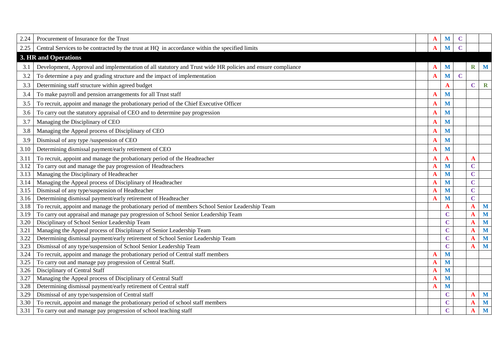| 2.24 | Procurement of Insurance for the Trust                                                                     | A           | M              | $\mathbf C$ |             |             |
|------|------------------------------------------------------------------------------------------------------------|-------------|----------------|-------------|-------------|-------------|
| 2.25 | Central Services to be contracted by the trust at HQ in accordance within the specified limits             | A           | M              |             |             |             |
|      | 3. HR and Operations                                                                                       |             |                |             |             |             |
| 3.1  | Development, Approval and implementation of all statutory and Trust wide HR policies and ensure compliance | A           | M              |             | $\mathbf R$ | M           |
| 3.2  | To determine a pay and grading structure and the impact of implementation                                  | A           | M              | $\mathbf C$ |             |             |
| 3.3  | Determining staff structure within agreed budget                                                           |             | A              |             | $\mathbf C$ | $\mathbf R$ |
| 3.4  | To make payroll and pension arrangements for all Trust staff                                               | A           | M              |             |             |             |
| 3.5  | To recruit, appoint and manage the probationary period of the Chief Executive Officer                      | A           | M              |             |             |             |
| 3.6  | To carry out the statutory appraisal of CEO and to determine pay progression                               | A           | M              |             |             |             |
| 3.7  | Managing the Disciplinary of CEO                                                                           | A           | M              |             |             |             |
| 3.8  | Managing the Appeal process of Disciplinary of CEO                                                         | A           | M              |             |             |             |
| 3.9  | Dismissal of any type /suspension of CEO                                                                   | A           | M              |             |             |             |
| 3.10 | Determining dismissal payment/early retirement of CEO                                                      | $\mathbf A$ | M              |             |             |             |
| 3.11 | To recruit, appoint and manage the probationary period of the Headteacher                                  | A           | $\mathbf A$    |             | $\mathbf A$ |             |
| 3.12 | To carry out and manage the pay progression of Headteachers                                                | A           | M              |             | $\mathbf C$ |             |
| 3.13 | Managing the Disciplinary of Headteacher                                                                   | A           | M              |             | $\mathbf C$ |             |
| 3.14 | Managing the Appeal process of Disciplinary of Headteacher                                                 | A           | M              |             | $\mathbf C$ |             |
| 3.15 | Dismissal of any type/suspension of Headteacher                                                            |             | M              |             | $\mathbf C$ |             |
| 3.16 | Determining dismissal payment/early retirement of Headteacher                                              | A           | M              |             | $\mathbf C$ |             |
| 3.18 | To recruit, appoint and manage the probationary period of members School Senior Leadership Team            |             | A              |             | A           | M           |
| 3.19 | To carry out appraisal and manage pay progression of School Senior Leadership Team                         |             | $\mathbf C$    |             | A           | M           |
| 3.20 | Disciplinary of School Senior Leadership Team                                                              |             | $\mathbf C$    |             | A           | M           |
| 3.21 | Managing the Appeal process of Disciplinary of Senior Leadership Team                                      |             | $\mathbf C$    |             | A           | M           |
| 3.22 | Determining dismissal payment/early retirement of School Senior Leadership Team                            |             | $\mathbf C$    |             | A           | M           |
| 3.23 | Dismissal of any type/suspension of School Senior Leadership Team                                          |             | $\mathbf C$    |             | A           | M           |
| 3.24 | To recruit, appoint and manage the probationary period of Central staff members                            | A           | M              |             |             |             |
| 3.25 | To carry out and manage pay progression of Central Staff.                                                  | A           | M              |             |             |             |
| 3.26 | Disciplinary of Central Staff                                                                              | A           | M              |             |             |             |
| 3.27 | Managing the Appeal process of Disciplinary of Central Staff                                               | A           | M              |             |             |             |
| 3.28 | Determining dismissal payment/early retirement of Central staff                                            | A           | M              |             |             |             |
| 3.29 | Dismissal of any type/suspension of Central staff                                                          |             | $\overline{C}$ |             | A           | M           |
| 3.30 | To recruit, appoint and manage the probationary period of school staff members                             |             | $\mathbf C$    |             | A           | M           |
| 3.31 | To carry out and manage pay progression of school teaching staff                                           |             | $\overline{C}$ |             | A           | M           |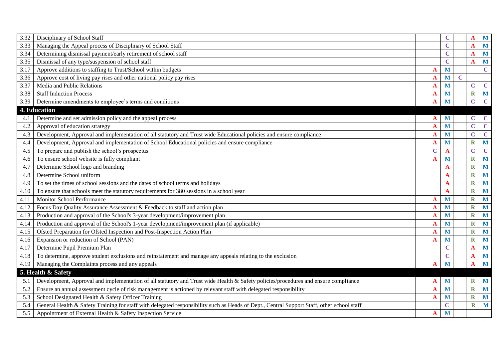| 3.32 | Disciplinary of School Staff                                                                                                               |             | $\bf C$     |             | A                       | M           |
|------|--------------------------------------------------------------------------------------------------------------------------------------------|-------------|-------------|-------------|-------------------------|-------------|
| 3.33 | Managing the Appeal process of Disciplinary of School Staff                                                                                |             | $\mathbf C$ |             | A                       | M           |
| 3.34 | Determining dismissal payment/early retirement of school staff                                                                             |             | $\mathbf C$ |             | A                       | M           |
| 3.35 | Dismissal of any type/suspension of school staff                                                                                           |             | $\mathbf C$ |             | A                       | M           |
| 3.17 | Approve additions to staffing to Trust/School within budgets                                                                               | A           | M           |             |                         | $\mathbf C$ |
| 3.36 | Approve cost of living pay rises and other national policy pay rises                                                                       | A           | M           | $\mathbf C$ |                         |             |
| 3.37 | Media and Public Relations                                                                                                                 | A           | M           |             | $\mathbf C$             | $\mathbf C$ |
| 3.38 | <b>Staff Induction Process</b>                                                                                                             | A           | M           |             | $\mathbf R$             | M           |
| 3.39 | Determine amendments to employee's terms and conditions                                                                                    | A           | M           |             | $\mathbf C$             | $\mathbf C$ |
|      | 4. Education                                                                                                                               |             |             |             |                         |             |
| 4.1  | Determine and set admission policy and the appeal process                                                                                  | A           | M           |             | $\mathbf C$             | $\mathbf C$ |
| 4.2  | Approval of education strategy                                                                                                             | A           | M           |             | $\mathbf C$             | $\mathbf C$ |
| 4.3  | Development, Approval and implementation of all statutory and Trust wide Educational policies and ensure compliance                        | A           | M           |             | $\mathbf C$             | $\mathbf C$ |
| 4.4  | Development, Approval and implementation of School Educational policies and ensure compliance                                              | A           | M           |             | $\mathbf R$             | M           |
| 4.5  | To prepare and publish the school's prospectus                                                                                             | $\mathbf C$ | A           |             | $\mathbf C$             | $\mathbf C$ |
| 4.6  | To ensure school website is fully compliant                                                                                                | A           | M           |             | $\mathbf R$             | M           |
| 4.7  | Determine School logo and branding                                                                                                         |             | A           |             | $\overline{\textbf{R}}$ | M           |
| 4.8  | Determine School uniform                                                                                                                   |             | A           |             | $\overline{\textbf{R}}$ | M           |
| 4.9  | To set the times of school sessions and the dates of school terms and holidays                                                             |             | A           |             | $\mathbf R$             | M           |
| 4.10 | To ensure that schools meet the statutory requirements for 380 sessions in a school year                                                   |             | A           |             | $\overline{\textbf{R}}$ | M           |
| 4.11 | Monitor School Performance                                                                                                                 | A           | M           |             | $\overline{\textbf{R}}$ | M           |
| 4.12 | Focus Day Quality Assurance Assessment & Feedback to staff and action plan                                                                 | A           | M           |             | $\overline{\textbf{R}}$ | M           |
| 4.13 | Production and approval of the School's 3-year development/improvement plan                                                                | A           | M           |             | $\mathbf R$             | M           |
| 4.14 | Production and approval of the School's 1-year development/improvement plan (if applicable)                                                | A           | M           |             | $\mathbf R$             | M           |
| 4.15 | Ofsted Preparation for Ofsted Inspection and Post-Inspection Action Plan                                                                   | A           | M           |             | $\mathbf R$             | M           |
| 4.16 | Expansion or reduction of School (PAN)                                                                                                     | A           | M           |             | $\overline{\textbf{R}}$ | M           |
| 4.17 | Determine Pupil Premium Plan                                                                                                               |             | $\mathbf C$ |             | A                       | M           |
| 4.18 | To determine, approve student exclusions and reinstatement and manage any appeals relating to the exclusion                                |             | $\mathbf C$ |             | $\mathbf A$             | M           |
| 4.19 | Managing the Complaints process and any appeals                                                                                            | A           | M           |             | A                       | M           |
|      | 5. Health & Safety                                                                                                                         |             |             |             |                         |             |
| 5.1  | Development, Approval and implementation of all statutory and Trust wide Health & Safety policies/procedures and ensure compliance         | A           | M           |             | $\bf{R}$                | M           |
| 5.2  | Ensure an annual assessment cycle of risk management is actioned by relevant staff with delegated responsibility                           | A           | M           |             | $\overline{\textbf{R}}$ | M           |
| 5.3  | School Designated Health & Safety Officer Training                                                                                         | A           | M           |             | $\overline{\textbf{R}}$ | M           |
| 5.4  | General Health & Safety Training for staff with delegated responsibility such as Heads of Dept., Central Support Staff, other school staff |             | $\mathbf C$ |             | $\mathbf R$             | M           |
| 5.5  | Appointment of External Health & Safety Inspection Service                                                                                 | $\mathbf A$ | M           |             |                         |             |